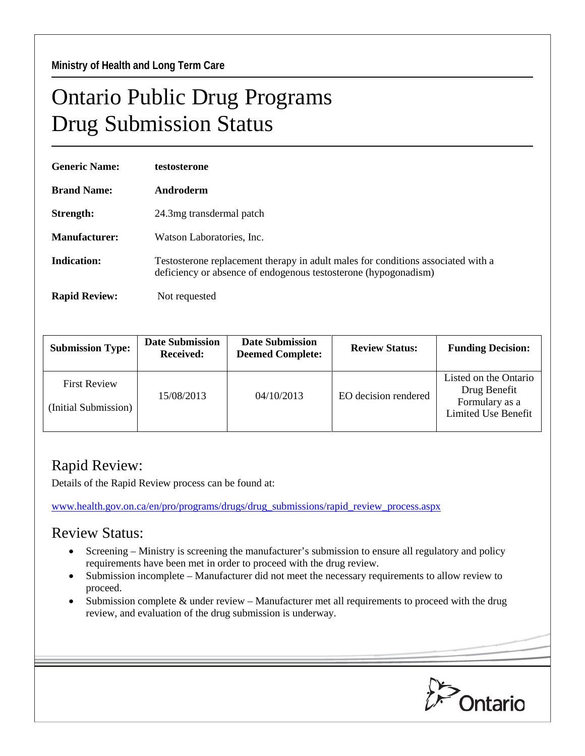## Ontario Public Drug Programs Drug Submission Status

| <b>Generic Name:</b> | testosterone                                                                                                                                        |  |  |
|----------------------|-----------------------------------------------------------------------------------------------------------------------------------------------------|--|--|
| <b>Brand Name:</b>   | Androderm                                                                                                                                           |  |  |
| Strength:            | 24.3 mg transdermal patch                                                                                                                           |  |  |
| Manufacturer:        | Watson Laboratories, Inc.                                                                                                                           |  |  |
| <b>Indication:</b>   | Testosterone replacement therapy in adult males for conditions associated with a<br>deficiency or absence of endogenous testosterone (hypogonadism) |  |  |
| <b>Rapid Review:</b> | Not requested                                                                                                                                       |  |  |

| <b>Submission Type:</b>                     | <b>Date Submission</b><br><b>Received:</b> | <b>Date Submission</b><br><b>Deemed Complete:</b> | <b>Review Status:</b> | <b>Funding Decision:</b>                                                              |
|---------------------------------------------|--------------------------------------------|---------------------------------------------------|-----------------------|---------------------------------------------------------------------------------------|
| <b>First Review</b><br>(Initial Submission) | 15/08/2013                                 | 04/10/2013                                        | EO decision rendered  | Listed on the Ontario<br>Drug Benefit<br>Formulary as a<br><b>Limited Use Benefit</b> |

## Rapid Review:

Details of the Rapid Review process can be found at:

[www.health.gov.on.ca/en/pro/programs/drugs/drug\\_submissions/rapid\\_review\\_process.aspx](http://www.health.gov.on.ca/en/pro/programs/drugs/drug_submissions/rapid_review_process.aspx)

## Review Status:

- Screening Ministry is screening the manufacturer's submission to ensure all regulatory and policy requirements have been met in order to proceed with the drug review.
- Submission incomplete Manufacturer did not meet the necessary requirements to allow review to proceed.
- Submission complete & under review Manufacturer met all requirements to proceed with the drug review, and evaluation of the drug submission is underway.